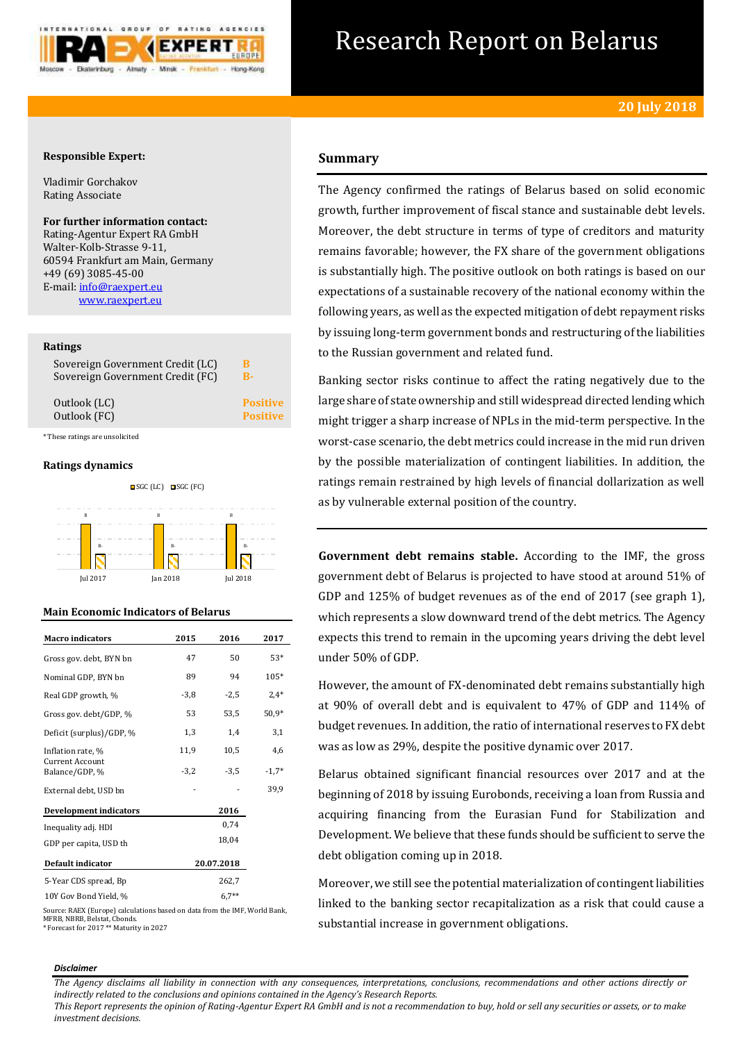

# Research Report on Belarus

# **Responsible Expert:**

Vladimir Gorchakov Rating Associate

# **For further information contact:**

Rating-Agentur Expert RA GmbH Walter-Kolb-Strasse 9-11, 60594 Frankfurt am Main, Germany +49 (69) 3085-45-00 E-mail[: info@raexpert.eu](mailto:info@raexpert.eu) [www.raexpert.eu](http://raexpert.eu/)

### **Ratings**

| Sovereign Government Credit (LC) | B               |
|----------------------------------|-----------------|
| Sovereign Government Credit (FC) | R-              |
| Outlook (LC)                     | <b>Positive</b> |
| Outlook (FC)                     | <b>Positive</b> |

\* These ratings are unsolicited

## **Ratings dynamics**



## **Main Economic Indicators of Belarus**

| <b>Macro</b> indicators                  | 2015   | 2016       | 2017    |
|------------------------------------------|--------|------------|---------|
| Gross gov. debt, BYN bn                  | 47     | 50         | 53*     |
| Nominal GDP, BYN bn                      | 89     | 94         | 105*    |
| Real GDP growth, %                       | $-3,8$ | $-2,5$     | $2,4*$  |
| Gross gov. debt/GDP, %                   | 53     | 53,5       | $50.9*$ |
| Deficit (surplus)/GDP, %                 | 1,3    | 1,4        | 3,1     |
| Inflation rate, %                        | 11,9   | 10,5       | 4,6     |
| <b>Current Account</b><br>Balance/GDP, % | $-3,2$ | $-3.5$     | $-1,7*$ |
| External debt, USD bn                    |        |            | 39,9    |
| <b>Development indicators</b>            |        | 2016       |         |
| Inequality adj. HDI                      |        | 0,74       |         |
| GDP per capita, USD th                   |        | 18,04      |         |
| Default indicator                        |        | 20.07.2018 |         |
| 5-Year CDS spread, Bp                    |        | 262,7      |         |
| 10Y Gov Bond Yield, %                    |        | $6.7**$    |         |

Source: RAEX (Europe) calculations based on data from the IMF, World Bank, MFRB, NBRB, Belstat, Cbonds. \* Forecast for 2017 \*\* Maturity in 2027

# **Summary**

The Agency confirmed the ratings of Belarus based on solid economic growth, further improvement of fiscal stance and sustainable debt levels. Moreover, the debt structure in terms of type of creditors and maturity remains favorable; however, the FX share of the government obligations is substantially high. The positive outlook on both ratings is based on our expectations of a sustainable recovery of the national economy within the following years, as well as the expected mitigation of debt repayment risks by issuing long-term government bonds and restructuring of the liabilities to the Russian government and related fund.

Banking sector risks continue to affect the rating negatively due to the large share of state ownership and still widespread directed lending which might trigger a sharp increase of NPLs in the mid-term perspective. In the worst-case scenario, the debt metrics could increase in the mid run driven by the possible materialization of contingent liabilities. In addition, the ratings remain restrained by high levels of financial dollarization as well as by vulnerable external position of the country.

**Government debt remains stable.** According to the IMF, the gross government debt of Belarus is projected to have stood at around 51% of GDP and 125% of budget revenues as of the end of 2017 (see graph 1), which represents a slow downward trend of the debt metrics. The Agency expects this trend to remain in the upcoming years driving the debt level under 50% of GDP.

However, the amount of FX-denominated debt remains substantially high at 90% of overall debt and is equivalent to 47% of GDP and 114% of budget revenues. In addition, the ratio of international reserves to FX debt was as low as 29%, despite the positive dynamic over 2017.

Belarus obtained significant financial resources over 2017 and at the beginning of 2018 by issuing Eurobonds, receiving a loan from Russia and acquiring financing from the Eurasian Fund for Stabilization and Development. We believe that these funds should be sufficient to serve the debt obligation coming up in 2018.

Moreover, we still see the potential materialization of contingent liabilities linked to the banking sector recapitalization as a risk that could cause a substantial increase in government obligations.

#### *Disclaimer*

*The Agency disclaims all liability in connection with any consequences, interpretations, conclusions, recommendations and other actions directly or indirectly related to the conclusions and opinions contained in the Agency's Research Reports.*

*This Report represents the opinion of Rating-Agentur Expert RA GmbH and is not a recommendation to buy, hold or sell any securities or assets, or to make investment decisions.*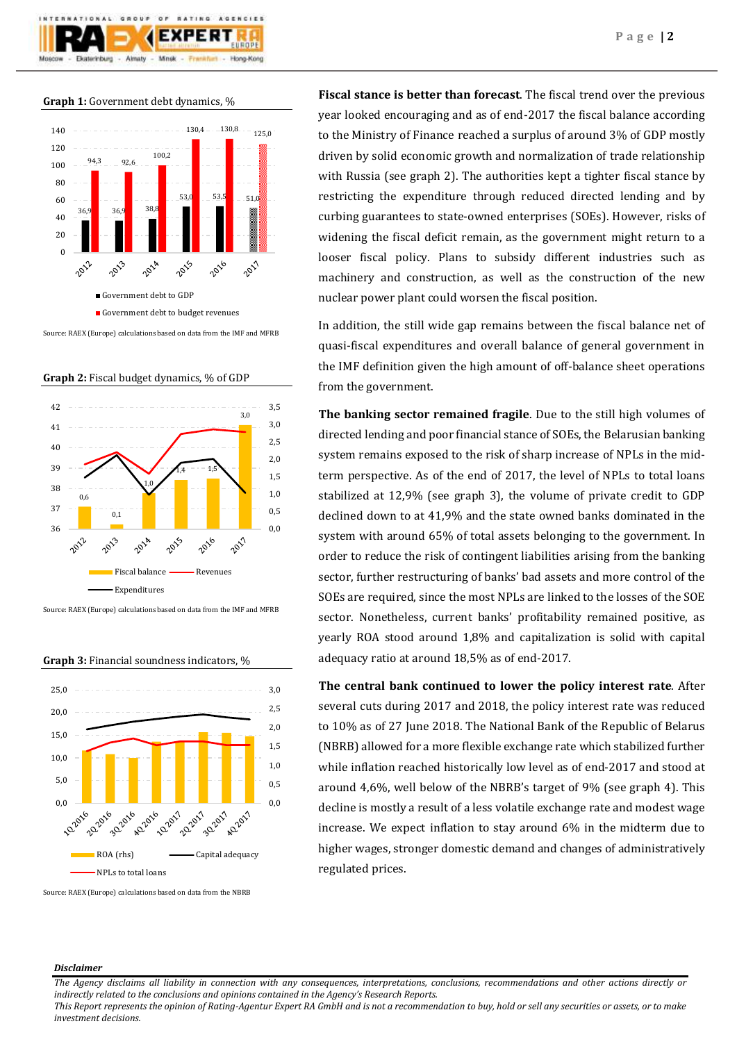

**Graph 1:** Government debt dynamics, %



Source: RAEX (Europe) calculations based on data from the IMF and MFRB

**Graph 2:** Fiscal budget dynamics, % of GDP



Source: RAEX (Europe) calculations based on data from the IMF and MFRB

**Graph 3:** Financial soundness indicators, %



Source: RAEX (Europe) calculations based on data from the NBRB

**Fiscal stance is better than forecast**. The fiscal trend over the previous year looked encouraging and as of end-2017 the fiscal balance according to the Ministry of Finance reached a surplus of around 3% of GDP mostly driven by solid economic growth and normalization of trade relationship with Russia (see graph 2). The authorities kept a tighter fiscal stance by restricting the expenditure through reduced directed lending and by curbing guarantees to state-owned enterprises (SOEs). However, risks of widening the fiscal deficit remain, as the government might return to a looser fiscal policy. Plans to subsidy different industries such as machinery and construction, as well as the construction of the new nuclear power plant could worsen the fiscal position.

In addition, the still wide gap remains between the fiscal balance net of quasi-fiscal expenditures and overall balance of general government in the IMF definition given the high amount of off-balance sheet operations from the government.

**The banking sector remained fragile**. Due to the still high volumes of directed lending and poor financial stance of SOEs, the Belarusian banking system remains exposed to the risk of sharp increase of NPLs in the midterm perspective. As of the end of 2017, the level of NPLs to total loans stabilized at 12,9% (see graph 3), the volume of private credit to GDP declined down to at 41,9% and the state owned banks dominated in the system with around 65% of total assets belonging to the government. In order to reduce the risk of contingent liabilities arising from the banking sector, further restructuring of banks' bad assets and more control of the SOEs are required, since the most NPLs are linked to the losses of the SOE sector. Nonetheless, current banks' profitability remained positive, as yearly ROA stood around 1,8% and capitalization is solid with capital adequacy ratio at around 18,5% as of end-2017.

**The central bank continued to lower the policy interest rate**. After several cuts during 2017 and 2018, the policy interest rate was reduced to 10% as of 27 June 2018. The National Bank of the Republic of Belarus (NBRB) allowed for a more flexible exchange rate which stabilized further while inflation reached historically low level as of end-2017 and stood at around 4,6%, well below of the NBRB's target of 9% (see graph 4). This decline is mostly a result of a less volatile exchange rate and modest wage increase. We expect inflation to stay around 6% in the midterm due to higher wages, stronger domestic demand and changes of administratively regulated prices.

#### *Disclaimer*

*The Agency disclaims all liability in connection with any consequences, interpretations, conclusions, recommendations and other actions directly or indirectly related to the conclusions and opinions contained in the Agency's Research Reports.*

*This Report represents the opinion of Rating-Agentur Expert RA GmbH and is not a recommendation to buy, hold or sell any securities or assets, or to make investment decisions.*